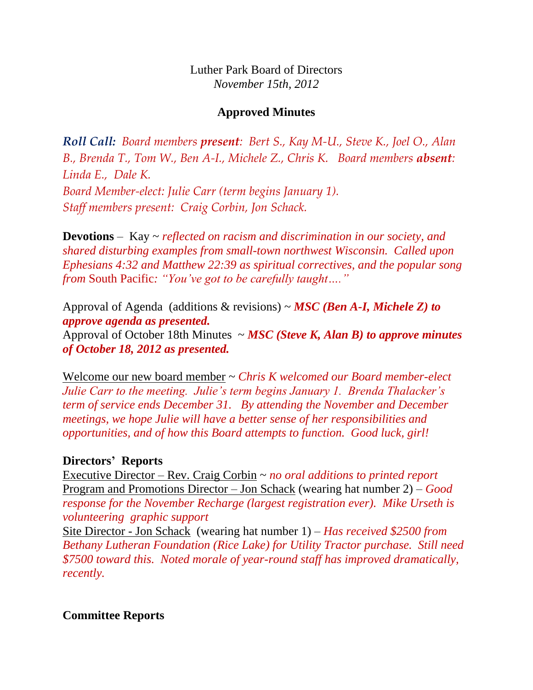Luther Park Board of Directors *November 15th, 2012*

## **Approved Minutes**

*Roll Call: Board members present: Bert S., Kay M-U., Steve K., Joel O., Alan B., Brenda T., Tom W., Ben A-I., Michele Z., Chris K. Board members absent: Linda E., Dale K. Board Member-elect: Julie Carr (term begins January 1). Staff members present: Craig Corbin, Jon Schack.*

**Devotions** – Kay ~ *reflected on racism and discrimination in our society, and shared disturbing examples from small-town northwest Wisconsin. Called upon Ephesians 4:32 and Matthew 22:39 as spiritual correctives, and the popular song from* South Pacific*: "You've got to be carefully taught…."*

Approval of Agenda (additions & revisions) ~ *MSC (Ben A-I, Michele Z) to approve agenda as presented.* Approval of October 18th Minutes ~ *MSC (Steve K, Alan B) to approve minutes of October 18, 2012 as presented.*

Welcome our new board member ~ *Chris K welcomed our Board member-elect Julie Carr to the meeting. Julie's term begins January 1. Brenda Thalacker's term of service ends December 31. By attending the November and December meetings, we hope Julie will have a better sense of her responsibilities and opportunities, and of how this Board attempts to function. Good luck, girl!*

### **Directors' Reports**

Executive Director – Rev. Craig Corbin ~ *no oral additions to printed report* Program and Promotions Director – Jon Schack (wearing hat number 2) – *Good response for the November Recharge (largest registration ever). Mike Urseth is volunteering graphic support*

Site Director - Jon Schack (wearing hat number 1) – *Has received \$2500 from Bethany Lutheran Foundation (Rice Lake) for Utility Tractor purchase. Still need \$7500 toward this. Noted morale of year-round staff has improved dramatically, recently.*

**Committee Reports**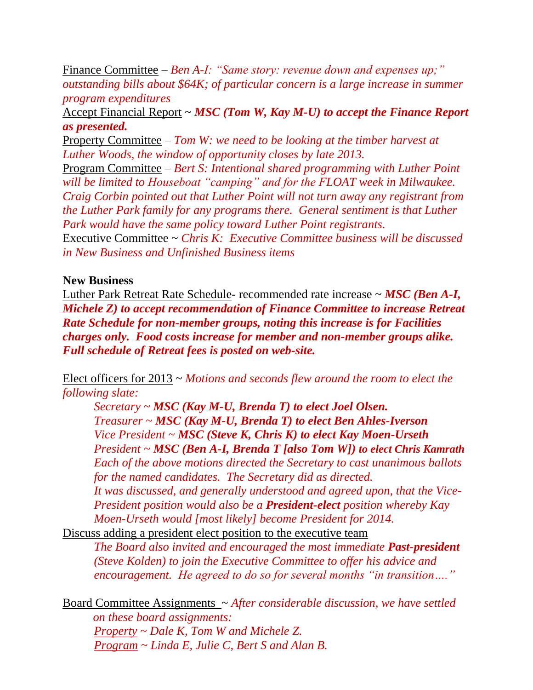Finance Committee – *Ben A-I: "Same story: revenue down and expenses up;" outstanding bills about \$64K; of particular concern is a large increase in summer program expenditures*

Accept Financial Report ~ *MSC (Tom W, Kay M-U) to accept the Finance Report as presented.*

Property Committee – *Tom W: we need to be looking at the timber harvest at Luther Woods, the window of opportunity closes by late 2013.*

Program Committee – *Bert S: Intentional shared programming with Luther Point will be limited to Houseboat "camping" and for the FLOAT week in Milwaukee. Craig Corbin pointed out that Luther Point will not turn away any registrant from the Luther Park family for any programs there. General sentiment is that Luther Park would have the same policy toward Luther Point registrants.*

Executive Committee ~ *Chris K: Executive Committee business will be discussed in New Business and Unfinished Business items*

### **New Business**

Luther Park Retreat Rate Schedule- recommended rate increase ~ *MSC (Ben A-I, Michele Z) to accept recommendation of Finance Committee to increase Retreat Rate Schedule for non-member groups, noting this increase is for Facilities charges only. Food costs increase for member and non-member groups alike. Full schedule of Retreat fees is posted on web-site.*

Elect officers for 2013 ~ *Motions and seconds flew around the room to elect the following slate:* 

*Secretary ~ MSC (Kay M-U, Brenda T) to elect Joel Olsen. Treasurer ~ MSC (Kay M-U, Brenda T) to elect Ben Ahles-Iverson Vice President ~ MSC (Steve K, Chris K) to elect Kay Moen-Urseth President ~ MSC (Ben A-I, Brenda T [also Tom W]) to elect Chris Kamrath Each of the above motions directed the Secretary to cast unanimous ballots for the named candidates. The Secretary did as directed. It was discussed, and generally understood and agreed upon, that the Vice-President position would also be a President-elect position whereby Kay Moen-Urseth would [most likely] become President for 2014.*

Discuss adding a president elect position to the executive team

*The Board also invited and encouraged the most immediate Past-president (Steve Kolden) to join the Executive Committee to offer his advice and encouragement. He agreed to do so for several months "in transition…."*

Board Committee Assignments ~ *After considerable discussion, we have settled on these board assignments: Property ~ Dale K, Tom W and Michele Z. Program ~ Linda E, Julie C, Bert S and Alan B.*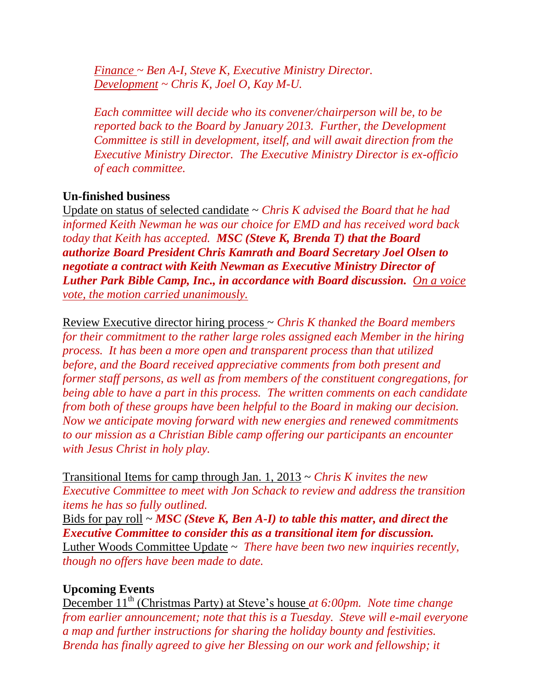*Finance ~ Ben A-I, Steve K, Executive Ministry Director. Development ~ Chris K, Joel O, Kay M-U.*

*Each committee will decide who its convener/chairperson will be, to be reported back to the Board by January 2013. Further, the Development Committee is still in development, itself, and will await direction from the Executive Ministry Director. The Executive Ministry Director is ex-officio of each committee.*

# **Un-finished business**

Update on status of selected candidate ~ *Chris K advised the Board that he had informed Keith Newman he was our choice for EMD and has received word back today that Keith has accepted. MSC (Steve K, Brenda T) that the Board authorize Board President Chris Kamrath and Board Secretary Joel Olsen to negotiate a contract with Keith Newman as Executive Ministry Director of Luther Park Bible Camp, Inc., in accordance with Board discussion. On a voice vote, the motion carried unanimously.*

Review Executive director hiring process ~ *Chris K thanked the Board members for their commitment to the rather large roles assigned each Member in the hiring process. It has been a more open and transparent process than that utilized before, and the Board received appreciative comments from both present and former staff persons, as well as from members of the constituent congregations, for being able to have a part in this process. The written comments on each candidate from both of these groups have been helpful to the Board in making our decision. Now we anticipate moving forward with new energies and renewed commitments to our mission as a Christian Bible camp offering our participants an encounter with Jesus Christ in holy play.*

Transitional Items for camp through Jan. 1, 2013 ~ *Chris K invites the new Executive Committee to meet with Jon Schack to review and address the transition items he has so fully outlined.*

Bids for pay roll ~ *MSC (Steve K, Ben A-I) to table this matter, and direct the Executive Committee to consider this as a transitional item for discussion.* Luther Woods Committee Update ~ *There have been two new inquiries recently, though no offers have been made to date.*

## **Upcoming Events**

December 11<sup>th</sup> (Christmas Party) at Steve's house *at 6:00pm. Note time change from earlier announcement; note that this is a Tuesday. Steve will e-mail everyone a map and further instructions for sharing the holiday bounty and festivities. Brenda has finally agreed to give her Blessing on our work and fellowship; it*